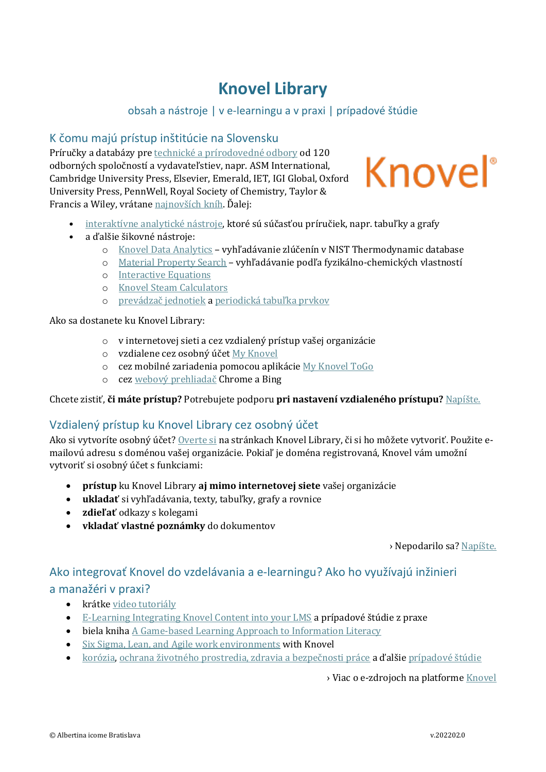# **Knovel Library**

## obsah a nástroje | v e-learningu a v praxi | prípadové štúdie

### K čomu majú prístup inštitúcie na Slovensku

Príručky a databázy pre technické a [prírodovedné odbory](https://app.knovel.com/kn/browse) od 120 odborných spoločností a vydavateľstiev, napr. ASM International, Cambridge University Press, Elsevier, Emerald, IET, IGI Global, Oxford University Press, PennWell, Royal Society of Chemistry, Taylor & Francis a Wiley, vrátane [najnovších kníh.](https://app.knovel.com/kn/browse?id=all-subjects&tab=new-content) Ďalej:



- interaktívne anal[ytické nástroje,](https://app.knovel.com/kn/browse?tab=tools-content) ktoré sú súčasťou príručiek, napr. tabuľky a grafy
- a ďalšie šikovné nástroje:
	- o [Knovel Data Analytics](https://app.knovel.com/web/poc/ms/discovery.html) vyhľadávanie zlúčenín v NIST Thermodynamic database
	- o [Material Property Search](https://app.knovel.com/kn/data-search) vyhľadávanie podľa fyzikálno-chemických vlastností
	- o [Interactive Equations](https://app.knovel.com/ie/)
	- o [Knovel Steam Calculators](https://app.knovel.com/sc/)
	- o [prevádzač jednotiek](https://app.knovel.com/uc/) a [periodická tabuľka prvkov](https://app.knovel.com/web/view/html/show.v/rcid:kpKS000009/cid:kt00395KS1/viewerType:html/root_slug:knovel-sampler/url_slug:periodic-table-elements)

Ako sa dostanete ku Knovel Library:

- o v internetovej sieti a cez vzdialený prístup vašej organizácie
- o vzdialene cez osobný účet [My Knovel](https://app.knovel.com/web/login.v)
- o cez mobilné zariadenia pomocou aplikácie [My Knovel ToGo](https://app.knovel.com/web/marketing/mobile-app.v)
- o cez web[ový prehliadač](https://www.aib.sk/novinky/2334-skratkou-do-knovelu-z-vyhladavacov-google-a-bing/) Chrome a Bing

Chcete zistiť, **či máte prístup?** Potrebujete podporu **pri nastavení vzdialeného prístupu?** N[apíšt](mailto:lucia.polednikova@aib.sk?subject=Knovel%20Library)e.

### Vzdialený prístup ku Knovel Library cez osobný účet

Ako si vytvoríte osobný účet? [Overte si](https://app.knovel.com/web/verify-access.v) na stránkach Knovel Library, či si ho môžete vytvoriť. Použite emailovú adresu s doménou vašej organizácie. Pokiaľ je doména registrovaná, Knovel vám umožní vytvoriť si osobný účet s funkciami:

- **prístup** ku Knovel Library **aj mimo internetovej siete** vašej organizácie
- **ukladať** si vyhľadávania, texty, tabuľky, grafy a rovnice
- **zdieľať** odkazy s kolegami
- **vkladať vlastné poznámky** do dokumentov

› Nepodarilo sa? [Napíšte.](mailto:lucia.polednikova@aib.sk?subject=Knovel%20Library%20-%20osobný%20účet)

# Ako integrovať Knovel do vzdelávania a e-learningu? Ako ho využívajú inžinieri

### a manažéri v praxi?

- krátke [video tutoriály](https://service.elsevier.com/app/answers/detail/a_id/13522/c/10545/supporthub/knovel/)
- [E-Learning Integrating Knovel Content into your LMS](https://www.aib.sk/podpora/nastroje/2466-elsevier-engineering-webinar-series-knovel/) a prípadové štúdie z praxe
- biela kniha [A Game-based Learning Approach to Information Literacy](https://www.elsevier.com/__data/assets/pdf_file/0003/185592/Game-Based-Learning-white-paper.pdf)
- [Six Sigma, Lean, and Agile work environments](https://www.aib.sk/seminare/536-six-sigma-lean-and-agile-work-environments-with-knovel/) with Knovel
- [korózi](https://www.aib.sk/seminare/261-corrosion-clinic-solving-engineering-challenges-in-corrosion-using-knovel/)a, ochrana [životného prostredia, zdravia a bezpečnosti práce](https://www.aib.sk/seminare/312-reduce-environmental-health-and-safety-risk-with-knovel/) **a ďalšie** prípadové štúdie

› Viac o e-zdrojoch na platform[e Knovel](https://www.aib.sk/produkty/partneri/28-knovel/)